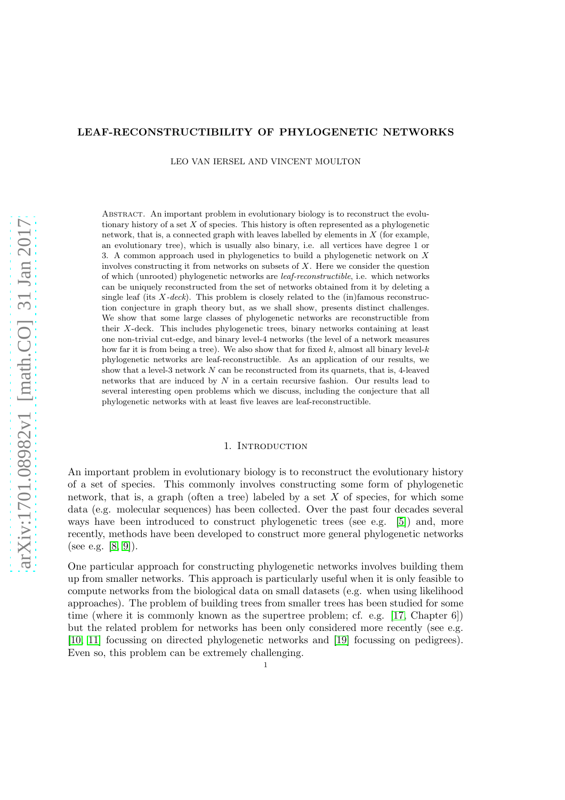# LEAF-RECONSTRUCTIBILITY OF PHYLOGENETIC NETWORKS

LEO VAN IERSEL AND VINCENT MOULTON

Abstract. An important problem in evolutionary biology is to reconstruct the evolutionary history of a set  $X$  of species. This history is often represented as a phylogenetic network, that is, a connected graph with leaves labelled by elements in  $X$  (for example, an evolutionary tree), which is usually also binary, i.e. all vertices have degree 1 or 3. A common approach used in phylogenetics to build a phylogenetic network on X involves constructing it from networks on subsets of  $X$ . Here we consider the question of which (unrooted) phylogenetic networks are leaf-reconstructible, i.e. which networks can be uniquely reconstructed from the set of networks obtained from it by deleting a single leaf (its  $X-deck$ ). This problem is closely related to the (in)famous reconstruction conjecture in graph theory but, as we shall show, presents distinct challenges. We show that some large classes of phylogenetic networks are reconstructible from their X-deck. This includes phylogenetic trees, binary networks containing at least one non-trivial cut-edge, and binary level-4 networks (the level of a network measures how far it is from being a tree). We also show that for fixed  $k$ , almost all binary level- $k$ phylogenetic networks are leaf-reconstructible. As an application of our results, we show that a level-3 network  $N$  can be reconstructed from its quarnets, that is, 4-leaved networks that are induced by N in a certain recursive fashion. Our results lead to several interesting open problems which we discuss, including the conjecture that all phylogenetic networks with at least five leaves are leaf-reconstructible.

### 1. Introduction

An important problem in evolutionary biology is to reconstruct the evolutionary history of a set of species. This commonly involves constructing some form of phylogenetic network, that is, a graph (often a tree) labeled by a set  $X$  of species, for which some data (e.g. molecular sequences) has been collected. Over the past four decades several ways have been introduced to construct phylogenetic trees (see e.g. [\[5\]](#page-22-0)) and, more recently, methods have been developed to construct more general phylogenetic networks (see e.g. [\[8,](#page-22-1) [9\]](#page-22-2)).

One particular approach for constructing phylogenetic networks involves building them up from smaller networks. This approach is particularly useful when it is only feasible to compute networks from the biological data on small datasets (e.g. when using likelihood approaches). The problem of building trees from smaller trees has been studied for some time (where it is commonly known as the supertree problem; cf. e.g. [\[17,](#page-22-3) Chapter 6]) but the related problem for networks has been only considered more recently (see e.g. [\[10,](#page-22-4) [11\]](#page-22-5) focussing on directed phylogenetic networks and [\[19\]](#page-22-6) focussing on pedigrees). Even so, this problem can be extremely challenging.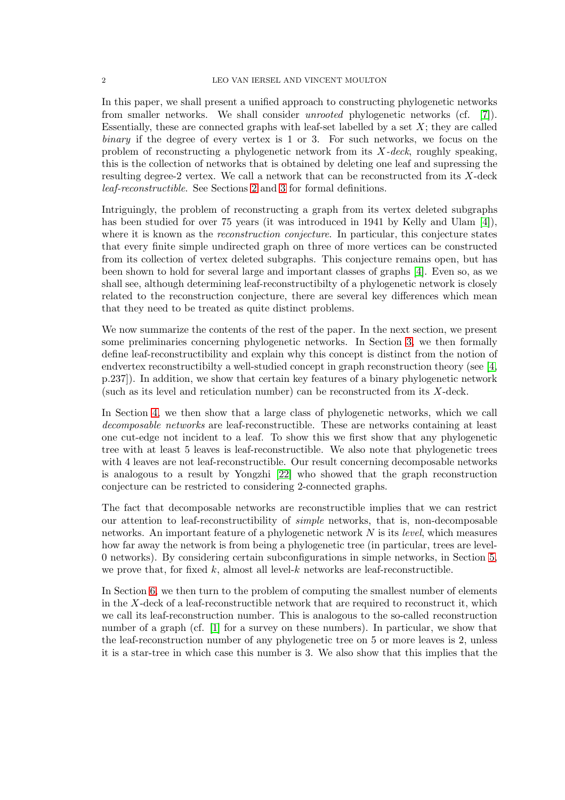In this paper, we shall present a unified approach to constructing phylogenetic networks from smaller networks. We shall consider unrooted phylogenetic networks (cf. [\[7\]](#page-22-7)). Essentially, these are connected graphs with leaf-set labelled by a set  $X$ ; they are called binary if the degree of every vertex is 1 or 3. For such networks, we focus on the problem of reconstructing a phylogenetic network from its  $X$ -deck, roughly speaking, this is the collection of networks that is obtained by deleting one leaf and supressing the resulting degree-2 vertex. We call a network that can be reconstructed from its X-deck leaf-reconstructible. See Sections [2](#page-2-0) and [3](#page-3-0) for formal definitions.

Intriguingly, the problem of reconstructing a graph from its vertex deleted subgraphs has been studied for over 75 years (it was introduced in 1941 by Kelly and Ulam [\[4\]](#page-22-8)), where it is known as the *reconstruction conjecture*. In particular, this conjecture states that every finite simple undirected graph on three of more vertices can be constructed from its collection of vertex deleted subgraphs. This conjecture remains open, but has been shown to hold for several large and important classes of graphs [\[4\]](#page-22-8). Even so, as we shall see, although determining leaf-reconstructibilty of a phylogenetic network is closely related to the reconstruction conjecture, there are several key differences which mean that they need to be treated as quite distinct problems.

We now summarize the contents of the rest of the paper. In the next section, we present some preliminaries concerning phylogenetic networks. In Section [3,](#page-3-0) we then formally define leaf-reconstructibility and explain why this concept is distinct from the notion of endvertex reconstructibilty a well-studied concept in graph reconstruction theory (see [\[4,](#page-22-8) p.237]). In addition, we show that certain key features of a binary phylogenetic network (such as its level and reticulation number) can be reconstructed from its X-deck.

In Section [4,](#page-6-0) we then show that a large class of phylogenetic networks, which we call decomposable networks are leaf-reconstructible. These are networks containing at least one cut-edge not incident to a leaf. To show this we first show that any phylogenetic tree with at least 5 leaves is leaf-reconstructible. We also note that phylogenetic trees with 4 leaves are not leaf-reconstructible. Our result concerning decomposable networks is analogous to a result by Yongzhi [\[22\]](#page-23-0) who showed that the graph reconstruction conjecture can be restricted to considering 2-connected graphs.

The fact that decomposable networks are reconstructible implies that we can restrict our attention to leaf-reconstructibility of simple networks, that is, non-decomposable networks. An important feature of a phylogenetic network  $N$  is its *level*, which measures how far away the network is from being a phylogenetic tree (in particular, trees are level-0 networks). By considering certain subconfigurations in simple networks, in Section [5,](#page-7-0) we prove that, for fixed k, almost all level-k networks are leaf-reconstructible.

In Section [6,](#page-8-0) we then turn to the problem of computing the smallest number of elements in the  $X$ -deck of a leaf-reconstructible network that are required to reconstruct it, which we call its leaf-reconstruction number. This is analogous to the so-called reconstruction number of a graph (cf. [\[1\]](#page-22-9) for a survey on these numbers). In particular, we show that the leaf-reconstruction number of any phylogenetic tree on 5 or more leaves is 2, unless it is a star-tree in which case this number is 3. We also show that this implies that the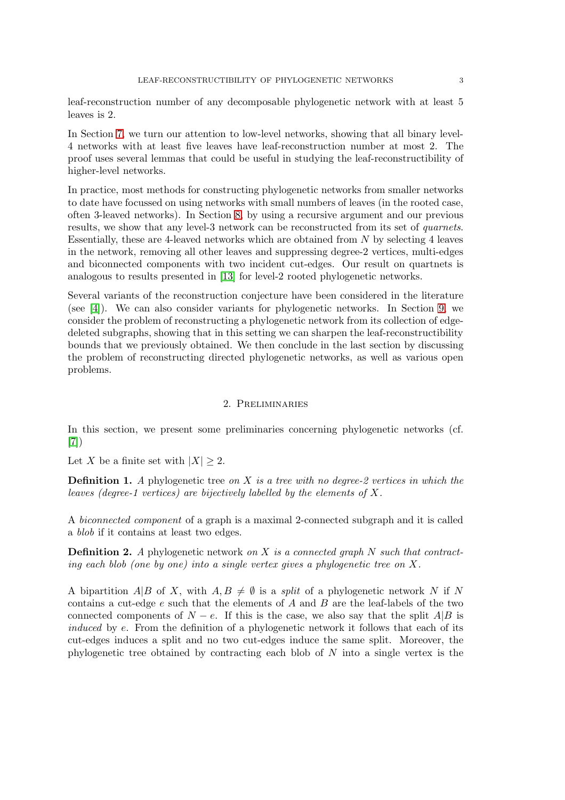leaf-reconstruction number of any decomposable phylogenetic network with at least 5 leaves is 2.

In Section [7,](#page-10-0) we turn our attention to low-level networks, showing that all binary level-4 networks with at least five leaves have leaf-reconstruction number at most 2. The proof uses several lemmas that could be useful in studying the leaf-reconstructibility of higher-level networks.

In practice, most methods for constructing phylogenetic networks from smaller networks to date have focussed on using networks with small numbers of leaves (in the rooted case, often 3-leaved networks). In Section [8,](#page-14-0) by using a recursive argument and our previous results, we show that any level-3 network can be reconstructed from its set of *quarnets*. Essentially, these are 4-leaved networks which are obtained from  $N$  by selecting 4 leaves in the network, removing all other leaves and suppressing degree-2 vertices, multi-edges and biconnected components with two incident cut-edges. Our result on quartnets is analogous to results presented in [\[13\]](#page-22-10) for level-2 rooted phylogenetic networks.

Several variants of the reconstruction conjecture have been considered in the literature (see [\[4\]](#page-22-8)). We can also consider variants for phylogenetic networks. In Section [9,](#page-19-0) we consider the problem of reconstructing a phylogenetic network from its collection of edgedeleted subgraphs, showing that in this setting we can sharpen the leaf-reconstructibility bounds that we previously obtained. We then conclude in the last section by discussing the problem of reconstructing directed phylogenetic networks, as well as various open problems.

#### 2. Preliminaries

<span id="page-2-0"></span>In this section, we present some preliminaries concerning phylogenetic networks (cf. [\[7\]](#page-22-7))

Let X be a finite set with  $|X| \geq 2$ .

**Definition 1.** A phylogenetic tree on X is a tree with no degree-2 vertices in which the leaves (degree-1 vertices) are bijectively labelled by the elements of X.

A biconnected component of a graph is a maximal 2-connected subgraph and it is called a blob if it contains at least two edges.

**Definition 2.** A phylogenetic network on X is a connected graph  $N$  such that contracting each blob (one by one) into a single vertex gives a phylogenetic tree on X.

A bipartition A|B of X, with  $A, B \neq \emptyset$  is a *split* of a phylogenetic network N if N contains a cut-edge  $e$  such that the elements of  $A$  and  $B$  are the leaf-labels of the two connected components of  $N - e$ . If this is the case, we also say that the split A|B is induced by e. From the definition of a phylogenetic network it follows that each of its cut-edges induces a split and no two cut-edges induce the same split. Moreover, the phylogenetic tree obtained by contracting each blob of  $N$  into a single vertex is the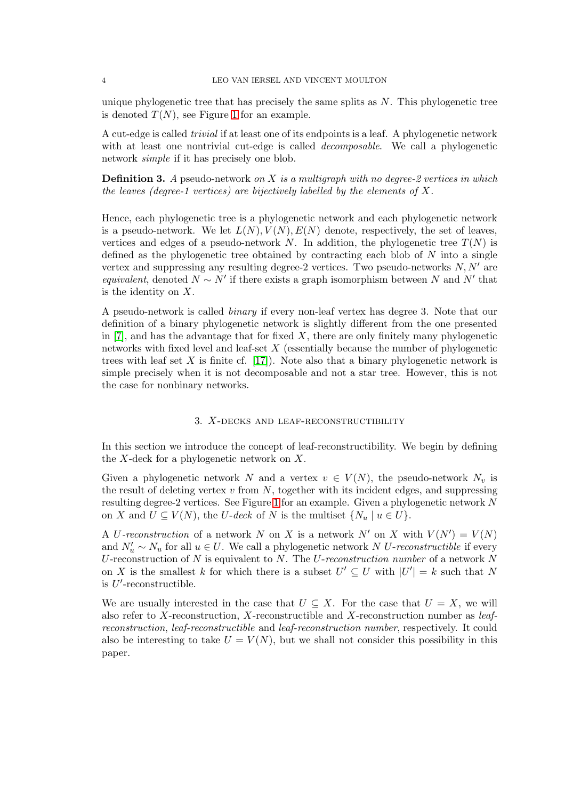unique phylogenetic tree that has precisely the same splits as  $N$ . This phylogenetic tree is denoted  $T(N)$ , see Figure [1](#page-4-0) for an example.

A cut-edge is called trivial if at least one of its endpoints is a leaf. A phylogenetic network with at least one nontrivial cut-edge is called *decomposable*. We call a phylogenetic network simple if it has precisely one blob.

**Definition 3.** A pseudo-network on X is a multigraph with no degree-2 vertices in which the leaves (degree-1 vertices) are bijectively labelled by the elements of  $X$ .

Hence, each phylogenetic tree is a phylogenetic network and each phylogenetic network is a pseudo-network. We let  $L(N)$ ,  $V(N)$ ,  $E(N)$  denote, respectively, the set of leaves, vertices and edges of a pseudo-network N. In addition, the phylogenetic tree  $T(N)$  is defined as the phylogenetic tree obtained by contracting each blob of  $N$  into a single vertex and suppressing any resulting degree-2 vertices. Two pseudo-networks  $N, N'$  are equivalent, denoted  $N \sim N'$  if there exists a graph isomorphism between N and N' that is the identity on X.

A pseudo-network is called binary if every non-leaf vertex has degree 3. Note that our definition of a binary phylogenetic network is slightly different from the one presented in  $[7]$ , and has the advantage that for fixed X, there are only finitely many phylogenetic networks with fixed level and leaf-set  $X$  (essentially because the number of phylogenetic trees with leaf set  $X$  is finite cf. [\[17\]](#page-22-3)). Note also that a binary phylogenetic network is simple precisely when it is not decomposable and not a star tree. However, this is not the case for nonbinary networks.

#### 3. X-decks and leaf-reconstructibility

<span id="page-3-0"></span>In this section we introduce the concept of leaf-reconstructibility. We begin by defining the  $X$ -deck for a phylogenetic network on  $X$ .

Given a phylogenetic network N and a vertex  $v \in V(N)$ , the pseudo-network  $N_v$  is the result of deleting vertex  $v$  from  $N$ , together with its incident edges, and suppressing resulting degree-2 vertices. See Figure [1](#page-4-0) for an example. Given a phylogenetic network N on X and  $U \subseteq V(N)$ , the U-deck of N is the multiset  $\{N_u \mid u \in U\}$ .

A U-reconstruction of a network N on X is a network N' on X with  $V(N') = V(N)$ and  $N'_u \sim N_u$  for all  $u \in U$ . We call a phylogenetic network N U-reconstructible if every U-reconstruction of N is equivalent to N. The U-reconstruction number of a network  $N$ on X is the smallest k for which there is a subset  $U' \subseteq U$  with  $|U'| = k$  such that N is  $U'$ -reconstructible.

We are usually interested in the case that  $U \subseteq X$ . For the case that  $U = X$ , we will also refer to X-reconstruction, X-reconstructible and X-reconstruction number as leafreconstruction, leaf-reconstructible and leaf-reconstruction number, respectively. It could also be interesting to take  $U = V(N)$ , but we shall not consider this possibility in this paper.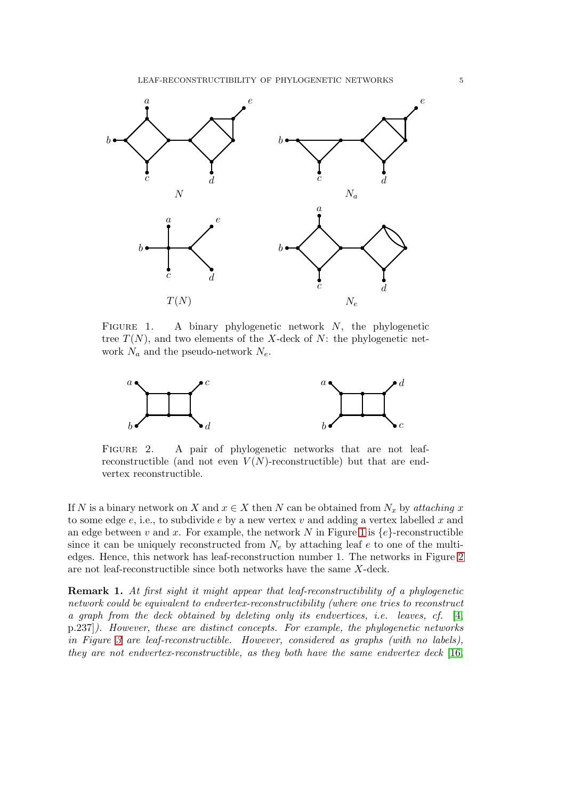

<span id="page-4-0"></span>FIGURE 1. A binary phylogenetic network  $N$ , the phylogenetic tree  $T(N)$ , and two elements of the X-deck of N: the phylogenetic network  $N_a$  and the pseudo-network  $N_e$ .



<span id="page-4-1"></span>FIGURE 2. A pair of phylogenetic networks that are not leafreconstructible (and not even  $V(N)$ -reconstructible) but that are endvertex reconstructible.

If N is a binary network on X and  $x \in X$  then N can be obtained from  $N_x$  by attaching x to some edge  $e$ , i.e., to subdivide  $e$  by a new vertex  $v$  and adding a vertex labelled  $x$  and an edge between v and x. For example, the network N in Figure [1](#page-4-0) is  ${e}$ -reconstructible since it can be uniquely reconstructed from  $N_e$  by attaching leaf e to one of the multiedges. Hence, this network has leaf-reconstruction number 1. The networks in Figure [2](#page-4-1) are not leaf-reconstructible since both networks have the same X-deck.

Remark 1. At first sight it might appear that leaf-reconstructibility of a phylogenetic network could be equivalent to endvertex-reconstructibility (where one tries to reconstruct a graph from the deck obtained by deleting only its endvertices, i.e. leaves, cf. [\[4,](#page-22-8) p.237]). However, these are distinct concepts. For example, the phylogenetic networks in Figure [3](#page-5-0) are leaf-reconstructible. However, considered as graphs (with no labels), they are not endvertex-reconstructible, as they both have the same endvertex deck [\[16,](#page-22-11)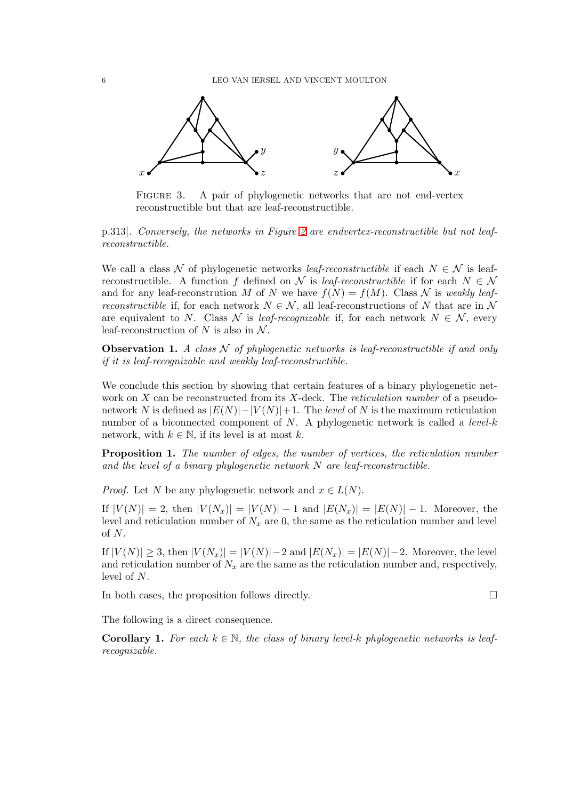

<span id="page-5-0"></span>FIGURE 3. A pair of phylogenetic networks that are not end-vertex reconstructible but that are leaf-reconstructible.

p.313]. Conversely, the networks in Figure [2](#page-4-1) are endvertex-reconstructible but not leafreconstructible.

We call a class N of phylogenetic networks *leaf-reconstructible* if each  $N \in \mathcal{N}$  is leafreconstructible. A function f defined on N is leaf-reconstructible if for each  $N \in \mathcal{N}$ and for any leaf-reconstrution M of N we have  $f(N) = f(M)$ . Class N is weakly leaf*reconstructible* if, for each network  $N \in \mathcal{N}$ , all leaf-reconstructions of N that are in N are equivalent to N. Class N is leaf-recognizable if, for each network  $N \in \mathcal{N}$ , every leaf-reconstruction of N is also in  $\mathcal{N}$ .

**Observation 1.** A class  $\mathcal N$  of phylogenetic networks is leaf-reconstructible if and only if it is leaf-recognizable and weakly leaf-reconstructible.

We conclude this section by showing that certain features of a binary phylogenetic network on  $X$  can be reconstructed from its  $X$ -deck. The *reticulation number* of a pseudonetwork N is defined as  $|E(N)|-|V(N)|+1$ . The level of N is the maximum reticulation number of a biconnected component of  $N$ . A phylogenetic network is called a *level-k* network, with  $k \in \mathbb{N}$ , if its level is at most k.

Proposition 1. The number of edges, the number of vertices, the reticulation number and the level of a binary phylogenetic network N are leaf-reconstructible.

*Proof.* Let N be any phylogenetic network and  $x \in L(N)$ .

If  $|V(N)| = 2$ , then  $|V(N_x)| = |V(N)| - 1$  and  $|E(N_x)| = |E(N)| - 1$ . Moreover, the level and reticulation number of  $N_x$  are 0, the same as the reticulation number and level of N.

If  $|V(N)| \geq 3$ , then  $|V(N_x)| = |V(N)| - 2$  and  $|E(N_x)| = |E(N)| - 2$ . Moreover, the level and reticulation number of  $N_x$  are the same as the reticulation number and, respectively, level of N.

In both cases, the proposition follows directly.

The following is a direct consequence.

<span id="page-5-1"></span>**Corollary 1.** For each  $k \in \mathbb{N}$ , the class of binary level-k phylogenetic networks is leafrecognizable.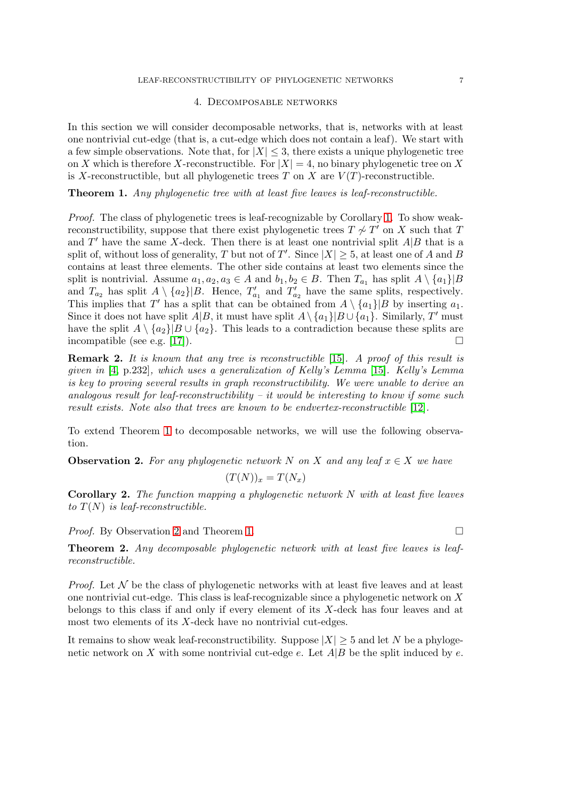## 4. Decomposable networks

<span id="page-6-0"></span>In this section we will consider decomposable networks, that is, networks with at least one nontrivial cut-edge (that is, a cut-edge which does not contain a leaf). We start with a few simple observations. Note that, for  $|X| \leq 3$ , there exists a unique phylogenetic tree on X which is therefore X-reconstructible. For  $|X| = 4$ , no binary phylogenetic tree on X is X-reconstructible, but all phylogenetic trees  $T$  on  $X$  are  $V(T)$ -reconstructible.

<span id="page-6-1"></span>Theorem 1. Any phylogenetic tree with at least five leaves is leaf-reconstructible.

Proof. The class of phylogenetic trees is leaf-recognizable by Corollary [1.](#page-5-1) To show weakreconstructibility, suppose that there exist phylogenetic trees  $T \not\sim T'$  on X such that T and  $T'$  have the same X-deck. Then there is at least one nontrivial split  $A|B$  that is a split of, without loss of generality, T but not of T'. Since  $|X| \geq 5$ , at least one of A and B contains at least three elements. The other side contains at least two elements since the split is nontrivial. Assume  $a_1, a_2, a_3 \in A$  and  $b_1, b_2 \in B$ . Then  $T_{a_1}$  has split  $A \setminus \{a_1\} | B$ and  $T_{a_2}$  has split  $A \setminus \{a_2\} | B$ . Hence,  $T'_{a_1}$  and  $T'_{a_2}$  have the same splits, respectively. This implies that T' has a split that can be obtained from  $A \setminus \{a_1\}$  by inserting  $a_1$ . Since it does not have split  $\hat{A}|B$ , it must have split  $A \setminus \{a_1\}|B \cup \{a_1\}$ . Similarly, T' must have the split  $A \setminus \{a_2\}$   $B \cup \{a_2\}$ . This leads to a contradiction because these splits are incompatible (see e.g. [\[17\]](#page-22-3)).

**Remark 2.** It is known that any tree is reconstructible [\[15\]](#page-22-12). A proof of this result is given in [\[4,](#page-22-8) p.232], which uses a generalization of Kelly's Lemma [\[15\]](#page-22-12). Kelly's Lemma is key to proving several results in graph reconstructibility. We were unable to derive an analogous result for leaf-reconstructibility – it would be interesting to know if some such result exists. Note also that trees are known to be endvertex-reconstructible [\[12\]](#page-22-13).

To extend Theorem [1](#page-6-1) to decomposable networks, we will use the following observation.

<span id="page-6-2"></span>**Observation 2.** For any phylogenetic network N on X and any leaf  $x \in X$  we have

$$
(T(N))_x = T(N_x)
$$

<span id="page-6-3"></span>**Corollary 2.** The function mapping a phylogenetic network  $N$  with at least five leaves to  $T(N)$  is leaf-reconstructible.

*Proof.* By Observation [2](#page-6-2) and Theorem [1.](#page-6-1)  $\Box$ 

<span id="page-6-4"></span>Theorem 2. Any decomposable phylogenetic network with at least five leaves is leafreconstructible.

*Proof.* Let  $\mathcal N$  be the class of phylogenetic networks with at least five leaves and at least one nontrivial cut-edge. This class is leaf-recognizable since a phylogenetic network on X belongs to this class if and only if every element of its X-deck has four leaves and at most two elements of its  $X$ -deck have no nontrivial cut-edges.

It remains to show weak leaf-reconstructibility. Suppose  $|X| \geq 5$  and let N be a phylogenetic network on X with some nontrivial cut-edge e. Let  $A|B$  be the split induced by e.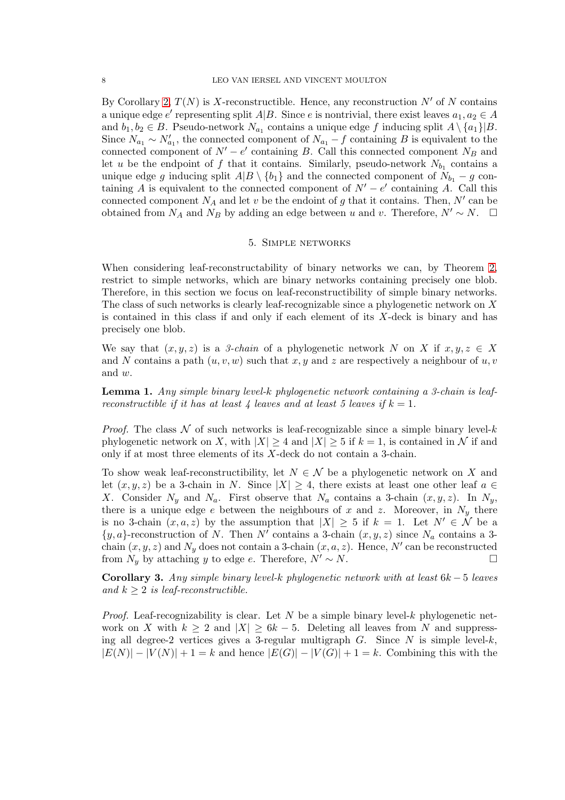By Corollary [2,](#page-6-3)  $T(N)$  is X-reconstructible. Hence, any reconstruction N' of N contains a unique edge e' representing split  $A|B$ . Since e is nontrivial, there exist leaves  $a_1, a_2 \in A$ and  $b_1, b_2 \in B$ . Pseudo-network  $N_{a_1}$  contains a unique edge f inducing split  $A \setminus \{a_1\} | B$ . Since  $N_{a_1} \sim N'_{a_1}$ , the connected component of  $N_{a_1} - f$  containing B is equivalent to the connected component of  $N' - e'$  containing B. Call this connected component  $N_B$  and let u be the endpoint of f that it contains. Similarly, pseudo-network  $N_{b_1}$  contains a unique edge g inducing split  $A|B \setminus \{b_1\}$  and the connected component of  $N_{b_1} - g$  containing A is equivalent to the connected component of  $N' - e'$  containing A. Call this connected component  $N_A$  and let v be the endoint of g that it contains. Then, N' can be obtained from  $N_A$  and  $N_B$  by adding an edge between u and v. Therefore,  $N' \sim N$ .  $\Box$ 

## 5. Simple networks

<span id="page-7-0"></span>When considering leaf-reconstructability of binary networks we can, by Theorem [2,](#page-6-4) restrict to simple networks, which are binary networks containing precisely one blob. Therefore, in this section we focus on leaf-reconstructibility of simple binary networks. The class of such networks is clearly leaf-recognizable since a phylogenetic network on X is contained in this class if and only if each element of its  $X$ -deck is binary and has precisely one blob.

We say that  $(x, y, z)$  is a 3-chain of a phylogenetic network N on X if  $x, y, z \in X$ and N contains a path  $(u, v, w)$  such that x, y and z are respectively a neighbour of u, v and w.

<span id="page-7-1"></span>**Lemma 1.** Any simple binary level-k phylogenetic network containing a 3-chain is leafreconstructible if it has at least 4 leaves and at least 5 leaves if  $k = 1$ .

*Proof.* The class  $\mathcal N$  of such networks is leaf-recognizable since a simple binary level-k phylogenetic network on X, with  $|X| \geq 4$  and  $|X| \geq 5$  if  $k = 1$ , is contained in N if and only if at most three elements of its X-deck do not contain a 3-chain.

To show weak leaf-reconstructibility, let  $N \in \mathcal{N}$  be a phylogenetic network on X and let  $(x, y, z)$  be a 3-chain in N. Since  $|X| \geq 4$ , there exists at least one other leaf  $a \in \mathbb{R}$ X. Consider  $N_y$  and  $N_a$ . First observe that  $N_a$  contains a 3-chain  $(x, y, z)$ . In  $N_y$ , there is a unique edge e between the neighbours of x and z. Moreover, in  $N_y$  there is no 3-chain  $(x, a, z)$  by the assumption that  $|X| \geq 5$  if  $k = 1$ . Let  $N' \in \mathcal{N}$  be a  $\{y, a\}$ -reconstruction of N. Then N' contains a 3-chain  $(x, y, z)$  since N<sub>a</sub> contains a 3chain  $(x, y, z)$  and  $N_y$  does not contain a 3-chain  $(x, a, z)$ . Hence, N' can be reconstructed from  $N_y$  by attaching y to edge e. Therefore,  $N' \sim N$ . □

<span id="page-7-2"></span>Corollary 3. Any simple binary level-k phylogenetic network with at least  $6k - 5$  leaves and  $k \geq 2$  is leaf-reconstructible.

*Proof.* Leaf-recognizability is clear. Let N be a simple binary level-k phylogenetic network on X with  $k \geq 2$  and  $|X| \geq 6k - 5$ . Deleting all leaves from N and suppressing all degree-2 vertices gives a 3-regular multigraph  $G$ . Since  $N$  is simple level- $k$ ,  $|E(N)| - |V(N)| + 1 = k$  and hence  $|E(G)| - |V(G)| + 1 = k$ . Combining this with the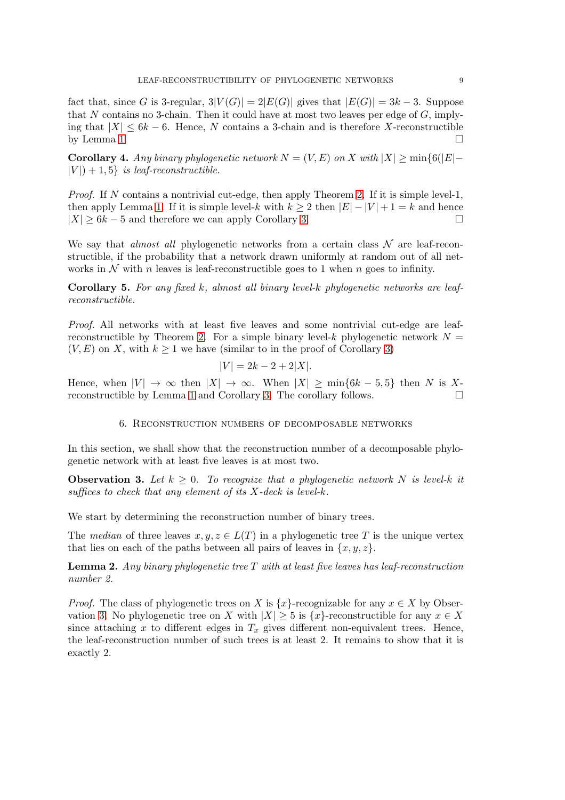fact that, since G is 3-regular,  $3|V(G)| = 2|E(G)|$  gives that  $|E(G)| = 3k - 3$ . Suppose that N contains no 3-chain. Then it could have at most two leaves per edge of  $G$ , implying that  $|X| \leq 6k - 6$ . Hence, N contains a 3-chain and is therefore X-reconstructible by Lemma [1.](#page-7-1)  $\Box$ 

<span id="page-8-3"></span>Corollary 4. Any binary phylogenetic network  $N = (V, E)$  on X with  $|X| \ge \min\{6(|E| |V|$  + 1, 5} is leaf-reconstructible.

*Proof.* If N contains a nontrivial cut-edge, then apply Theorem [2.](#page-6-4) If it is simple level-1, then apply Lemma [1.](#page-7-1) If it is simple level-k with  $k \geq 2$  then  $|E| - |V| + 1 = k$  and hence  $|X| \geq 6k - 5$  and therefore we can apply Corollary [3.](#page-7-2)

We say that *almost all* phylogenetic networks from a certain class  $\mathcal N$  are leaf-reconstructible, if the probability that a network drawn uniformly at random out of all networks in  $\mathcal N$  with n leaves is leaf-reconstructible goes to 1 when n goes to infinity.

<span id="page-8-4"></span>Corollary 5. For any fixed k, almost all binary level-k phylogenetic networks are leafreconstructible.

Proof. All networks with at least five leaves and some nontrivial cut-edge are leaf-reconstructible by Theorem [2.](#page-6-4) For a simple binary level-k phylogenetic network  $N =$  $(V, E)$  on X, with  $k \geq 1$  we have (similar to in the proof of Corollary [3\)](#page-7-2)

$$
|V| = 2k - 2 + 2|X|.
$$

<span id="page-8-0"></span>Hence, when  $|V| \to \infty$  then  $|X| \to \infty$ . When  $|X| \ge \min\{6k-5,5\}$  then N is Xreconstructible by Lemma [1](#page-7-1) and Corollary [3.](#page-7-2) The corollary follows.

## 6. Reconstruction numbers of decomposable networks

In this section, we shall show that the reconstruction number of a decomposable phylogenetic network with at least five leaves is at most two.

<span id="page-8-1"></span>**Observation 3.** Let  $k \geq 0$ . To recognize that a phylogenetic network N is level-k it suffices to check that any element of its  $X$ -deck is level-k.

We start by determining the reconstruction number of binary trees.

The median of three leaves  $x, y, z \in L(T)$  in a phylogenetic tree T is the unique vertex that lies on each of the paths between all pairs of leaves in  $\{x, y, z\}$ .

<span id="page-8-2"></span>**Lemma 2.** Any binary phylogenetic tree  $T$  with at least five leaves has leaf-reconstruction number 2.

*Proof.* The class of phylogenetic trees on X is  $\{x\}$ -recognizable for any  $x \in X$  by Obser-vation [3.](#page-8-1) No phylogenetic tree on X with  $|X| \geq 5$  is  $\{x\}$ -reconstructible for any  $x \in X$ since attaching x to different edges in  $T_x$  gives different non-equivalent trees. Hence, the leaf-reconstruction number of such trees is at least 2. It remains to show that it is exactly 2.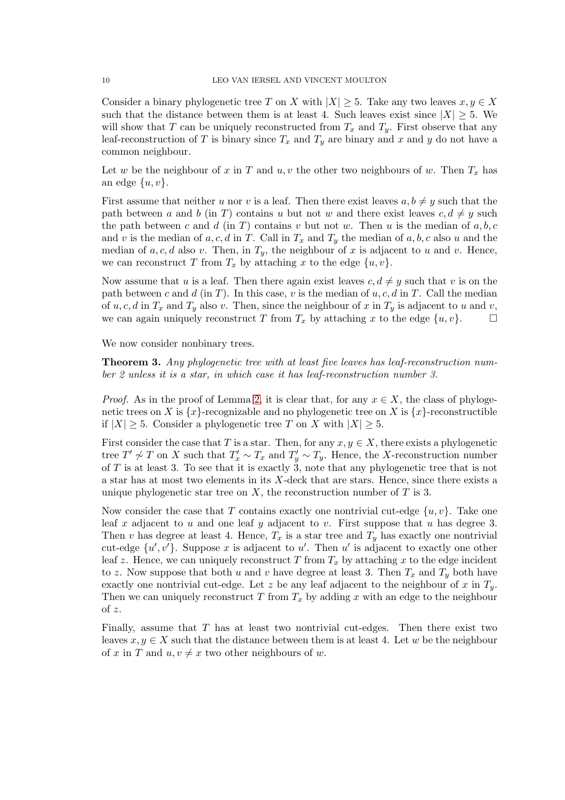Consider a binary phylogenetic tree T on X with  $|X| \geq 5$ . Take any two leaves  $x, y \in X$ such that the distance between them is at least 4. Such leaves exist since  $|X| \geq 5$ . We will show that T can be uniquely reconstructed from  $T_x$  and  $T_y$ . First observe that any leaf-reconstruction of T is binary since  $T_x$  and  $T_y$  are binary and x and y do not have a common neighbour.

Let w be the neighbour of x in T and  $u, v$  the other two neighbours of w. Then  $T_x$  has an edge  $\{u, v\}.$ 

First assume that neither u nor v is a leaf. Then there exist leaves  $a, b \neq y$  such that the path between a and b (in T) contains u but not w and there exist leaves  $c, d \neq y$  such the path between c and d (in T) contains v but not w. Then u is the median of  $a, b, c$ and v is the median of a, c, d in T. Call in  $T_x$  and  $T_y$  the median of a, b, c also u and the median of a, c, d also v. Then, in  $T_y$ , the neighbour of x is adjacent to u and v. Hence, we can reconstruct T from  $T_x$  by attaching x to the edge  $\{u, v\}$ .

Now assume that u is a leaf. Then there again exist leaves  $c, d \neq y$  such that v is on the path between c and d (in T). In this case, v is the median of  $u, c, d$  in T. Call the median of  $u, c, d$  in  $T_x$  and  $T_y$  also v. Then, since the neighbour of x in  $T_y$  is adjacent to u and v, we can again uniquely reconstruct T from  $T_x$  by attaching x to the edge  $\{u, v\}$ .

We now consider nonbinary trees.

<span id="page-9-0"></span>**Theorem 3.** Any phylogenetic tree with at least five leaves has leaf-reconstruction number 2 unless it is a star, in which case it has leaf-reconstruction number 3.

*Proof.* As in the proof of Lemma [2,](#page-8-2) it is clear that, for any  $x \in X$ , the class of phylogenetic trees on X is  $\{x\}$ -recognizable and no phylogenetic tree on X is  $\{x\}$ -reconstructible if  $|X| > 5$ . Consider a phylogenetic tree T on X with  $|X| > 5$ .

First consider the case that T is a star. Then, for any  $x, y \in X$ , there exists a phylogenetic tree  $T' \not\sim T$  on X such that  $T'_x \sim T_x$  and  $T'_y \sim T_y$ . Hence, the X-reconstruction number of T is at least 3. To see that it is exactly  $\tilde{3}$ , note that any phylogenetic tree that is not a star has at most two elements in its X-deck that are stars. Hence, since there exists a unique phylogenetic star tree on  $X$ , the reconstruction number of  $T$  is 3.

Now consider the case that T contains exactly one nontrivial cut-edge  $\{u, v\}$ . Take one leaf x adjacent to u and one leaf y adjacent to v. First suppose that u has degree 3. Then v has degree at least 4. Hence,  $T_x$  is a star tree and  $T_y$  has exactly one nontrivial cut-edge  $\{u', v'\}$ . Suppose x is adjacent to u'. Then u' is adjacent to exactly one other leaf z. Hence, we can uniquely reconstruct  $T$  from  $T_x$  by attaching x to the edge incident to z. Now suppose that both u and v have degree at least 3. Then  $T_x$  and  $T_y$  both have exactly one nontrivial cut-edge. Let z be any leaf adjacent to the neighbour of x in  $T_y$ . Then we can uniquely reconstruct T from  $T_x$  by adding x with an edge to the neighbour of z.

Finally, assume that  $T$  has at least two nontrivial cut-edges. Then there exist two leaves  $x, y \in X$  such that the distance between them is at least 4. Let w be the neighbour of x in T and  $u, v \neq x$  two other neighbours of w.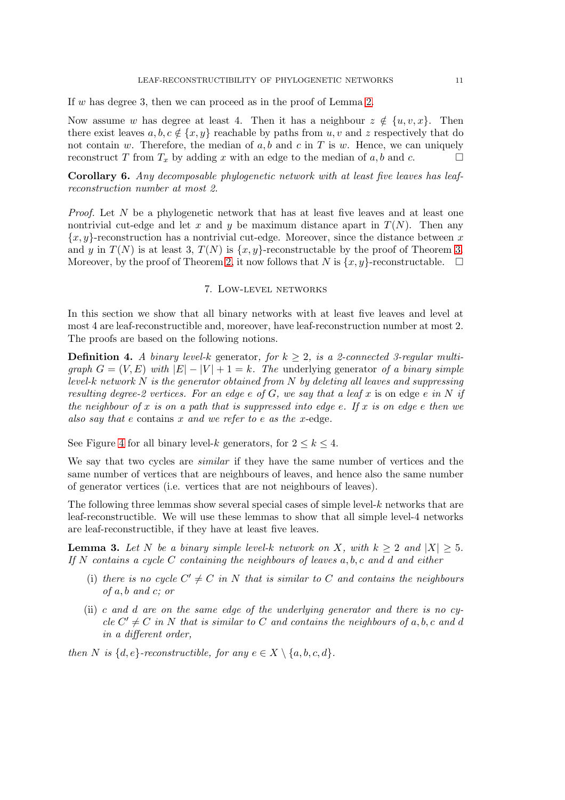#### LEAF-RECONSTRUCTIBILITY OF PHYLOGENETIC NETWORKS 11

If w has degree 3, then we can proceed as in the proof of Lemma [2.](#page-8-2)

Now assume w has degree at least 4. Then it has a neighbour  $z \notin \{u, v, x\}$ . Then there exist leaves  $a, b, c \notin \{x, y\}$  reachable by paths from u, v and z respectively that do not contain w. Therefore, the median of  $a, b$  and  $c$  in T is w. Hence, we can uniquely reconstruct T from  $T_x$  by adding x with an edge to the median of a, b and c.

<span id="page-10-2"></span>Corollary 6. Any decomposable phylogenetic network with at least five leaves has leafreconstruction number at most 2.

Proof. Let N be a phylogenetic network that has at least five leaves and at least one nontrivial cut-edge and let x and y be maximum distance apart in  $T(N)$ . Then any  ${x, y}$ -reconstruction has a nontrivial cut-edge. Moreover, since the distance between x and y in  $T(N)$  is at least 3,  $T(N)$  is  $\{x, y\}$ -reconstructable by the proof of Theorem [3.](#page-9-0) Moreover, by the proof of Theorem [2,](#page-6-4) it now follows that N is  $\{x, y\}$ -reconstructable.  $\square$ 

### 7. Low-level networks

<span id="page-10-0"></span>In this section we show that all binary networks with at least five leaves and level at most 4 are leaf-reconstructible and, moreover, have leaf-reconstruction number at most 2. The proofs are based on the following notions.

**Definition 4.** A binary level-k generator, for  $k \geq 2$ , is a 2-connected 3-regular multigraph  $G = (V, E)$  with  $|E| - |V| + 1 = k$ . The underlying generator of a binary simple level-k network  $N$  is the generator obtained from  $N$  by deleting all leaves and suppressing resulting degree-2 vertices. For an edge e of G, we say that a leaf x is on edge e in N if the neighbour of x is on a path that is suppressed into edge e. If x is on edge e then we also say that e contains x and we refer to e as the x-edge.

See Figure [4](#page-11-0) for all binary level-k generators, for  $2 \leq k \leq 4$ .

We say that two cycles are *similar* if they have the same number of vertices and the same number of vertices that are neighbours of leaves, and hence also the same number of generator vertices (i.e. vertices that are not neighbours of leaves).

The following three lemmas show several special cases of simple level-k networks that are leaf-reconstructible. We will use these lemmas to show that all simple level-4 networks are leaf-reconstructible, if they have at least five leaves.

<span id="page-10-1"></span>**Lemma 3.** Let N be a binary simple level-k network on X, with  $k > 2$  and  $|X| > 5$ . If  $N$  contains a cycle C containing the neighbours of leaves  $a, b, c$  and  $d$  and either

- (i) there is no cycle  $C' \neq C$  in N that is similar to C and contains the neighbours of a, b and c; or
- (ii) c and d are on the same edge of the underlying generator and there is no  $c_{\mathcal{V}}$  $cle C' \neq C$  in N that is similar to C and contains the neighbours of a, b, c and d in a different order,

then N is  $\{d, e\}$ -reconstructible, for any  $e \in X \setminus \{a, b, c, d\}.$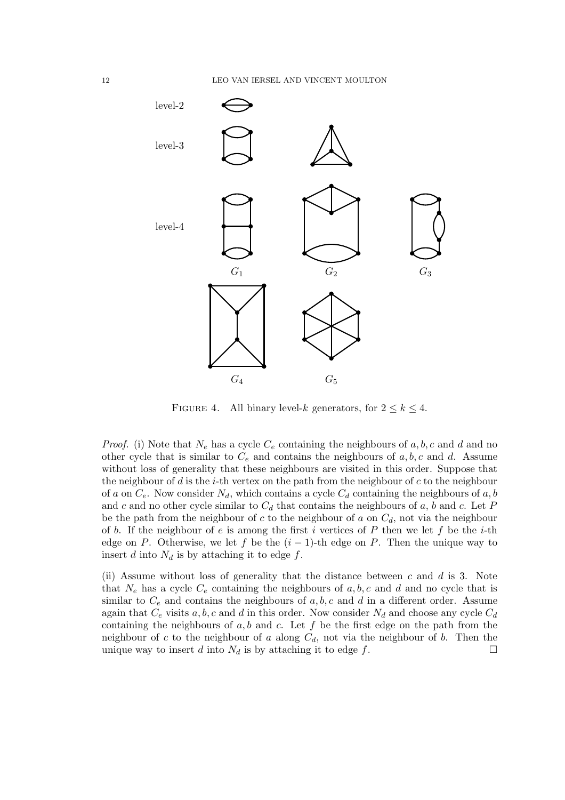

<span id="page-11-0"></span>FIGURE 4. All binary level-k generators, for  $2 \leq k \leq 4$ .

*Proof.* (i) Note that  $N_e$  has a cycle  $C_e$  containing the neighbours of  $a, b, c$  and  $d$  and no other cycle that is similar to  $C_e$  and contains the neighbours of  $a, b, c$  and  $d$ . Assume without loss of generality that these neighbours are visited in this order. Suppose that the neighbour of  $d$  is the *i*-th vertex on the path from the neighbour of  $c$  to the neighbour of a on  $C_e$ . Now consider  $N_d$ , which contains a cycle  $C_d$  containing the neighbours of a, b and c and no other cycle similar to  $C_d$  that contains the neighbours of a, b and c. Let P be the path from the neighbour of c to the neighbour of a on  $C_d$ , not via the neighbour of b. If the neighbour of e is among the first i vertices of P then we let f be the i-th edge on P. Otherwise, we let f be the  $(i - 1)$ -th edge on P. Then the unique way to insert d into  $N_d$  is by attaching it to edge f.

(ii) Assume without loss of generality that the distance between  $c$  and  $d$  is 3. Note that  $N_e$  has a cycle  $C_e$  containing the neighbours of a, b, c and d and no cycle that is similar to  $C_e$  and contains the neighbours of  $a, b, c$  and  $d$  in a different order. Assume again that  $C_e$  visits a, b, c and d in this order. Now consider  $N_d$  and choose any cycle  $C_d$ containing the neighbours of  $a, b$  and  $c$ . Let  $f$  be the first edge on the path from the neighbour of c to the neighbour of a along  $C_d$ , not via the neighbour of b. Then the unique way to insert d into  $N_d$  is by attaching it to edge f.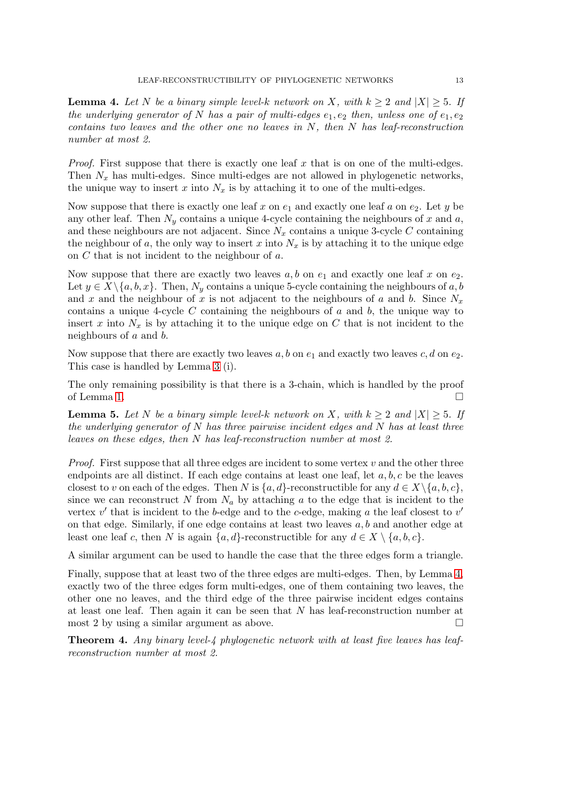<span id="page-12-0"></span>**Lemma 4.** Let N be a binary simple level-k network on X, with  $k \geq 2$  and  $|X| \geq 5$ . If the underlying generator of N has a pair of multi-edges  $e_1, e_2$  then, unless one of  $e_1, e_2$ contains two leaves and the other one no leaves in  $N$ , then  $N$  has leaf-reconstruction number at most 2.

*Proof.* First suppose that there is exactly one leaf  $x$  that is on one of the multi-edges. Then  $N_x$  has multi-edges. Since multi-edges are not allowed in phylogenetic networks, the unique way to insert x into  $N_x$  is by attaching it to one of the multi-edges.

Now suppose that there is exactly one leaf x on  $e_1$  and exactly one leaf a on  $e_2$ . Let y be any other leaf. Then  $N_y$  contains a unique 4-cycle containing the neighbours of x and a, and these neighbours are not adjacent. Since  $N_x$  contains a unique 3-cycle C containing the neighbour of a, the only way to insert x into  $N_x$  is by attaching it to the unique edge on C that is not incident to the neighbour of a.

Now suppose that there are exactly two leaves  $a, b$  on  $e_1$  and exactly one leaf x on  $e_2$ . Let  $y \in X \setminus \{a, b, x\}$ . Then,  $N_y$  contains a unique 5-cycle containing the neighbours of  $a, b$ and x and the neighbour of x is not adjacent to the neighbours of a and b. Since  $N_x$ contains a unique 4-cycle C containing the neighbours of  $a$  and  $b$ , the unique way to insert x into  $N_x$  is by attaching it to the unique edge on C that is not incident to the neighbours of a and b.

Now suppose that there are exactly two leaves a, b on  $e_1$  and exactly two leaves c, d on  $e_2$ . This case is handled by Lemma [3](#page-10-1) (i).

The only remaining possibility is that there is a 3-chain, which is handled by the proof of Lemma [1.](#page-7-1)  $\Box$ 

<span id="page-12-1"></span>**Lemma 5.** Let N be a binary simple level-k network on X, with  $k > 2$  and  $|X| > 5$ . If the underlying generator of  $N$  has three pairwise incident edges and  $N$  has at least three leaves on these edges, then N has leaf-reconstruction number at most 2.

*Proof.* First suppose that all three edges are incident to some vertex  $v$  and the other three endpoints are all distinct. If each edge contains at least one leaf, let  $a, b, c$  be the leaves closest to v on each of the edges. Then N is  $\{a, d\}$ -reconstructible for any  $d \in X \setminus \{a, b, c\}$ , since we can reconstruct N from  $N_a$  by attaching a to the edge that is incident to the vertex  $v'$  that is incident to the b-edge and to the c-edge, making a the leaf closest to  $v'$ on that edge. Similarly, if one edge contains at least two leaves  $a, b$  and another edge at least one leaf c, then N is again  $\{a, d\}$ -reconstructible for any  $d \in X \setminus \{a, b, c\}$ .

A similar argument can be used to handle the case that the three edges form a triangle.

Finally, suppose that at least two of the three edges are multi-edges. Then, by Lemma [4,](#page-12-0) exactly two of the three edges form multi-edges, one of them containing two leaves, the other one no leaves, and the third edge of the three pairwise incident edges contains at least one leaf. Then again it can be seen that N has leaf-reconstruction number at most 2 by using a similar argument as above.  $\Box$ 

Theorem 4. Any binary level-4 phylogenetic network with at least five leaves has leafreconstruction number at most 2.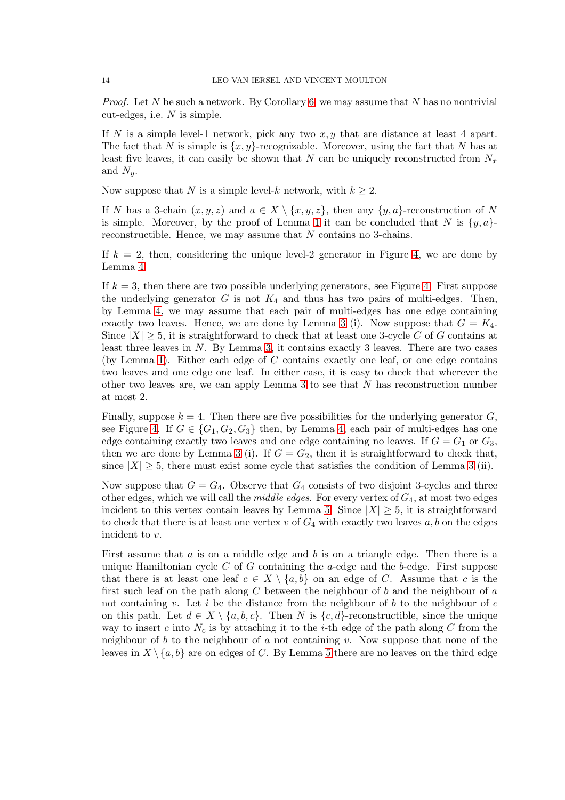*Proof.* Let N be such a network. By Corollary [6,](#page-10-2) we may assume that N has no nontrivial cut-edges, i.e.  $N$  is simple.

If N is a simple level-1 network, pick any two  $x, y$  that are distance at least 4 apart. The fact that N is simple is  $\{x, y\}$ -recognizable. Moreover, using the fact that N has at least five leaves, it can easily be shown that N can be uniquely reconstructed from  $N_x$ and  $N_u$ .

Now suppose that N is a simple level-k network, with  $k \geq 2$ .

If N has a 3-chain  $(x, y, z)$  and  $a \in X \setminus \{x, y, z\}$ , then any  $\{y, a\}$ -reconstruction of N is simple. Moreover, by the proof of Lemma [1](#page-7-1) it can be concluded that N is  $\{y, a\}$ reconstructible. Hence, we may assume that  $N$  contains no 3-chains.

If  $k = 2$ , then, considering the unique level-2 generator in Figure [4,](#page-11-0) we are done by Lemma [4.](#page-12-0)

If  $k = 3$ , then there are two possible underlying generators, see Figure [4.](#page-11-0) First suppose the underlying generator G is not  $K_4$  and thus has two pairs of multi-edges. Then, by Lemma [4,](#page-12-0) we may assume that each pair of multi-edges has one edge containing exactly two leaves. Hence, we are done by Lemma [3](#page-10-1) (i). Now suppose that  $G = K_4$ . Since  $|X| \geq 5$ , it is straightforward to check that at least one 3-cycle C of G contains at least three leaves in  $N$ . By Lemma [3,](#page-10-1) it contains exactly 3 leaves. There are two cases (by Lemma [1\)](#page-7-1). Either each edge of  $C$  contains exactly one leaf, or one edge contains two leaves and one edge one leaf. In either case, it is easy to check that wherever the other two leaves are, we can apply Lemma [3](#page-10-1) to see that N has reconstruction number at most 2.

Finally, suppose  $k = 4$ . Then there are five possibilities for the underlying generator G, see Figure [4.](#page-11-0) If  $G \in \{G_1, G_2, G_3\}$  then, by Lemma [4,](#page-12-0) each pair of multi-edges has one edge containing exactly two leaves and one edge containing no leaves. If  $G = G_1$  or  $G_3$ , then we are done by Lemma [3](#page-10-1) (i). If  $G = G_2$ , then it is straightforward to check that, since  $|X| \geq 5$ , there must exist some cycle that satisfies the condition of Lemma [3](#page-10-1) (ii).

Now suppose that  $G = G_4$ . Observe that  $G_4$  consists of two disjoint 3-cycles and three other edges, which we will call the *middle edges*. For every vertex of  $G_4$ , at most two edges incident to this vertex contain leaves by Lemma [5.](#page-12-1) Since  $|X| \geq 5$ , it is straightforward to check that there is at least one vertex v of  $G_4$  with exactly two leaves  $a, b$  on the edges incident to v.

First assume that  $a$  is on a middle edge and  $b$  is on a triangle edge. Then there is a unique Hamiltonian cycle C of G containing the a-edge and the b-edge. First suppose that there is at least one leaf  $c \in X \setminus \{a, b\}$  on an edge of C. Assume that c is the first such leaf on the path along  $C$  between the neighbour of  $b$  and the neighbour of  $a$ not containing v. Let i be the distance from the neighbour of b to the neighbour of c on this path. Let  $d \in X \setminus \{a, b, c\}$ . Then N is  $\{c, d\}$ -reconstructible, since the unique way to insert c into  $N_c$  is by attaching it to the *i*-th edge of the path along C from the neighbour of b to the neighbour of a not containing v. Now suppose that none of the leaves in  $X \setminus \{a, b\}$  are on edges of C. By Lemma [5](#page-12-1) there are no leaves on the third edge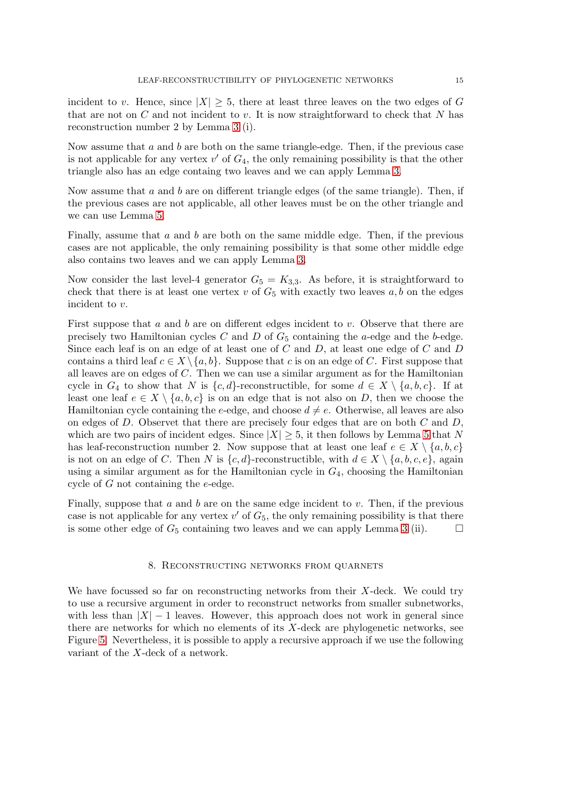incident to v. Hence, since  $|X| \geq 5$ , there at least three leaves on the two edges of G that are not on  $C$  and not incident to  $v$ . It is now straightforward to check that  $N$  has reconstruction number 2 by Lemma [3](#page-10-1) (i).

Now assume that  $a$  and  $b$  are both on the same triangle-edge. Then, if the previous case is not applicable for any vertex  $v'$  of  $G_4$ , the only remaining possibility is that the other triangle also has an edge containg two leaves and we can apply Lemma [3.](#page-10-1)

Now assume that  $a$  and  $b$  are on different triangle edges (of the same triangle). Then, if the previous cases are not applicable, all other leaves must be on the other triangle and we can use Lemma [5.](#page-12-1)

Finally, assume that  $a$  and  $b$  are both on the same middle edge. Then, if the previous cases are not applicable, the only remaining possibility is that some other middle edge also contains two leaves and we can apply Lemma [3.](#page-10-1)

Now consider the last level-4 generator  $G_5 = K_{3,3}$ . As before, it is straightforward to check that there is at least one vertex  $v$  of  $G_5$  with exactly two leaves  $a, b$  on the edges incident to v.

First suppose that a and b are on different edges incident to v. Observe that there are precisely two Hamiltonian cycles  $C$  and  $D$  of  $G<sub>5</sub>$  containing the a-edge and the b-edge. Since each leaf is on an edge of at least one of  $C$  and  $D$ , at least one edge of  $C$  and  $D$ contains a third leaf  $c \in X \setminus \{a, b\}$ . Suppose that c is on an edge of C. First suppose that all leaves are on edges of  $C$ . Then we can use a similar argument as for the Hamiltonian cycle in  $G_4$  to show that N is  $\{c, d\}$ -reconstructible, for some  $d \in X \setminus \{a, b, c\}$ . If at least one leaf  $e \in X \setminus \{a, b, c\}$  is on an edge that is not also on D, then we choose the Hamiltonian cycle containing the e-edge, and choose  $d \neq e$ . Otherwise, all leaves are also on edges of  $D$ . Observet that there are precisely four edges that are on both  $C$  and  $D$ , which are two pairs of incident edges. Since  $|X| \geq 5$  $|X| \geq 5$ , it then follows by Lemma 5 that N has leaf-reconstruction number 2. Now suppose that at least one leaf  $e \in X \setminus \{a, b, c\}$ is not on an edge of C. Then N is  $\{c, d\}$ -reconstructible, with  $d \in X \setminus \{a, b, c, e\}$ , again using a similar argument as for the Hamiltonian cycle in  $G<sub>4</sub>$ , choosing the Hamiltonian cycle of G not containing the e-edge.

<span id="page-14-0"></span>Finally, suppose that a and b are on the same edge incident to v. Then, if the previous case is not applicable for any vertex  $v'$  of  $G_5$ , the only remaining possibility is that there is some other edge of  $G_5$  containing two leaves and we can apply Lemma [3](#page-10-1) (ii).  $\Box$ 

### 8. Reconstructing networks from quarnets

We have focussed so far on reconstructing networks from their X-deck. We could try to use a recursive argument in order to reconstruct networks from smaller subnetworks, with less than  $|X| - 1$  leaves. However, this approach does not work in general since there are networks for which no elements of its X-deck are phylogenetic networks, see Figure [5.](#page-15-0) Nevertheless, it is possible to apply a recursive approach if we use the following variant of the X-deck of a network.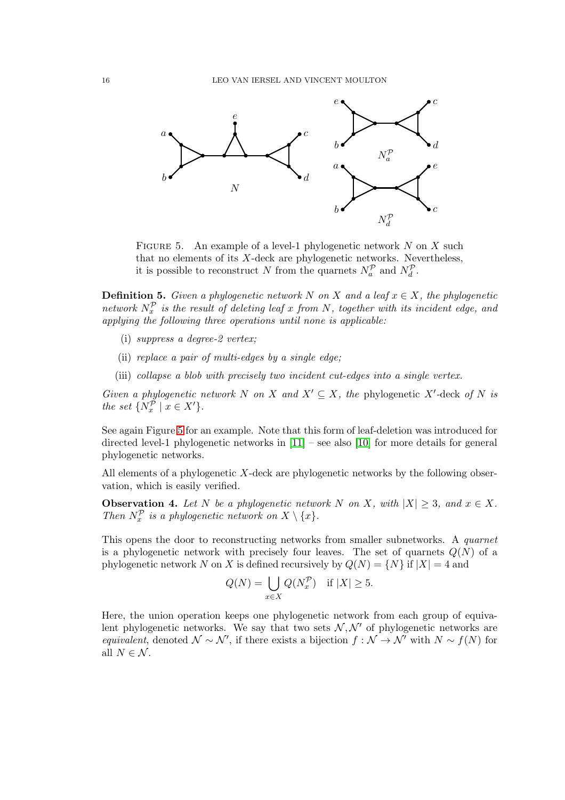

<span id="page-15-0"></span>FIGURE 5. An example of a level-1 phylogenetic network  $N$  on  $X$  such that no elements of its  $X$ -deck are phylogenetic networks. Nevertheless, it is possible to reconstruct N from the quarnets  $N_a^{\mathcal{P}}$  and  $N_d^{\mathcal{P}}$ .

**Definition 5.** Given a phylogenetic network N on X and a leaf  $x \in X$ , the phylogenetic network  $N_x^{\mathcal{P}}$  is the result of deleting leaf x from N, together with its incident edge, and applying the following three operations until none is applicable:

- (i) suppress a degree-2 vertex;
- (ii) replace a pair of multi-edges by a single edge;
- (iii) collapse a blob with precisely two incident cut-edges into a single vertex.

Given a phylogenetic network N on X and  $X' \subseteq X$ , the phylogenetic X'-deck of N is the set  $\{N_x^{\tilde{p}} \mid x \in X'\}.$ 

See again Figure [5](#page-15-0) for an example. Note that this form of leaf-deletion was introduced for directed level-1 phylogenetic networks in [\[11\]](#page-22-5) – see also [\[10\]](#page-22-4) for more details for general phylogenetic networks.

All elements of a phylogenetic  $X$ -deck are phylogenetic networks by the following observation, which is easily verified.

**Observation 4.** Let N be a phylogenetic network N on X, with  $|X| \geq 3$ , and  $x \in X$ . Then  $N_x^{\mathcal{P}}$  is a phylogenetic network on  $X \setminus \{x\}$ .

This opens the door to reconstructing networks from smaller subnetworks. A quarnet is a phylogenetic network with precisely four leaves. The set of quarnets  $Q(N)$  of a phylogenetic network N on X is defined recursively by  $Q(N) = \{N\}$  if  $|X| = 4$  and

$$
Q(N) = \bigcup_{x \in X} Q(N_x^{\mathcal{P}}) \quad \text{if } |X| \ge 5.
$$

Here, the union operation keeps one phylogenetic network from each group of equivalent phylogenetic networks. We say that two sets  $N, N'$  of phylogenetic networks are equivalent, denoted  $\mathcal{N} \sim \mathcal{N}'$ , if there exists a bijection  $f : \mathcal{N} \to \mathcal{N}'$  with  $N \sim f(N)$  for all  $N \in \mathcal{N}$ .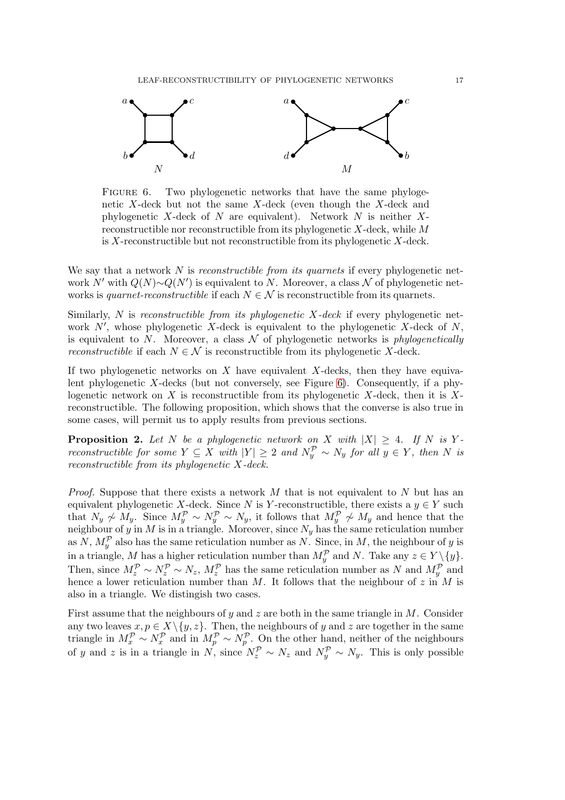

<span id="page-16-0"></span>FIGURE 6. Two phylogenetic networks that have the same phylogenetic X-deck but not the same X-deck (even though the X-deck and phylogenetic  $X$ -deck of  $N$  are equivalent). Network  $N$  is neither  $X$ reconstructible nor reconstructible from its phylogenetic X-deck, while M is  $X$ -reconstructible but not reconstructible from its phylogenetic  $X$ -deck.

We say that a network  $N$  is *reconstructible from its quarnets* if every phylogenetic network N' with  $Q(N) \sim Q(N')$  is equivalent to N. Moreover, a class N of phylogenetic networks is quarnet-reconstructible if each  $N \in \mathcal{N}$  is reconstructible from its quarnets.

Similarly, N is reconstructible from its phylogenetic  $X$ -deck if every phylogenetic network  $N'$ , whose phylogenetic X-deck is equivalent to the phylogenetic X-deck of  $N$ , is equivalent to N. Moreover, a class  $\mathcal N$  of phylogenetic networks is *phylogenetically* reconstructible if each  $N \in \mathcal{N}$  is reconstructible from its phylogenetic X-deck.

If two phylogenetic networks on  $X$  have equivalent  $X$ -decks, then they have equivalent phylogenetic X-decks (but not conversely, see Figure  $6$ ). Consequently, if a phylogenetic network on  $X$  is reconstructible from its phylogenetic  $X$ -deck, then it is  $X$ reconstructible. The following proposition, which shows that the converse is also true in some cases, will permit us to apply results from previous sections.

<span id="page-16-1"></span>**Proposition 2.** Let N be a phylogenetic network on X with  $|X| \geq 4$ . If N is Yreconstructible for some  $Y \subseteq X$  with  $|Y| \geq 2$  and  $N_y^{\mathcal{P}} \sim N_y$  for all  $y \in Y$ , then N is reconstructible from its phylogenetic X-deck.

*Proof.* Suppose that there exists a network  $M$  that is not equivalent to  $N$  but has an equivalent phylogenetic X-deck. Since N is Y-reconstructible, there exists a  $y \in Y$  such that  $N_y \not\sim M_y$ . Since  $M_y^{\mathcal{P}} \sim N_y^{\mathcal{P}} \sim N_y$ , it follows that  $M_y^{\mathcal{P}} \not\sim M_y$  and hence that the neighbour of y in M is in a triangle. Moreover, since  $N_y$  has the same reticulation number as  $N$ ,  $M_y^{\mathcal{P}}$  also has the same reticulation number as  $N$ . Since, in M, the neighbour of y is in a triangle, M has a higher reticulation number than  $M_y^{\mathcal{P}}$  and N. Take any  $z \in Y \setminus \{y\}$ . Then, since  $M_z^{\mathcal{P}} \sim N_z^{\mathcal{P}} \sim N_z$ ,  $M_z^{\mathcal{P}}$  has the same reticulation number as N and  $M_y^{\mathcal{P}}$  and hence a lower reticulation number than  $M$ . It follows that the neighbour of z in  $M$  is also in a triangle. We distingish two cases.

First assume that the neighbours of y and z are both in the same triangle in  $M$ . Consider any two leaves  $x, p \in X \setminus \{y, z\}$ . Then, the neighbours of y and z are together in the same triangle in  $M_x^{\mathcal{P}} \sim N_x^{\mathcal{P}}$  and in  $M_p^{\mathcal{P}} \sim N_p^{\mathcal{P}}$ . On the other hand, neither of the neighbours of y and z is in a triangle in  $N$ , since  $N_z^{\mathcal{P}} \sim N_z$  and  $N_y^{\mathcal{P}} \sim N_y$ . This is only possible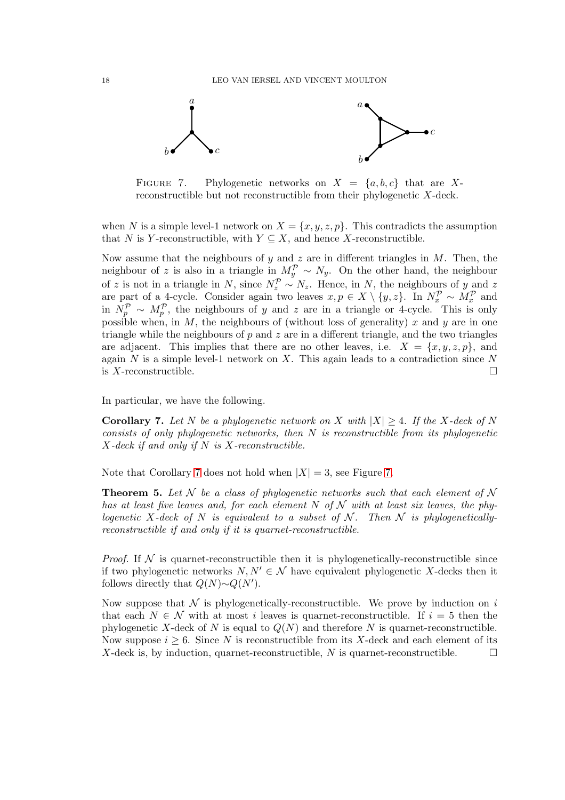

<span id="page-17-1"></span>FIGURE 7. Phylogenetic networks on  $X = \{a, b, c\}$  that are Xreconstructible but not reconstructible from their phylogenetic X-deck.

when N is a simple level-1 network on  $X = \{x, y, z, p\}$ . This contradicts the assumption that N is Y-reconstructible, with  $Y \subseteq X$ , and hence X-reconstructible.

Now assume that the neighbours of y and z are in different triangles in  $M$ . Then, the neighbour of z is also in a triangle in  $M_y^{\mathcal{P}} \sim N_y$ . On the other hand, the neighbour of z is not in a triangle in N, since  $N_z^{\mathcal{P}} \sim N_z$ . Hence, in N, the neighbours of y and z are part of a 4-cycle. Consider again two leaves  $x, p \in X \setminus \{y, z\}$ . In  $N_x^{\mathcal{P}} \sim M_x^{\mathcal{P}}$  and in  $\widehat{N_p^P} \sim M_p^P$ , the neighbours of y and z are in a triangle or 4-cycle. This is only possible when, in  $M$ , the neighbours of (without loss of generality) x and y are in one triangle while the neighbours of  $p$  and  $z$  are in a different triangle, and the two triangles are adjacent. This implies that there are no other leaves, i.e.  $X = \{x, y, z, p\}$ , and again  $N$  is a simple level-1 network on  $X$ . This again leads to a contradiction since  $N$ is X-reconstructible.  $\square$ 

In particular, we have the following.

<span id="page-17-0"></span>**Corollary 7.** Let N be a phylogenetic network on X with  $|X| \geq 4$ . If the X-deck of N consists of only phylogenetic networks, then  $N$  is reconstructible from its phylogenetic  $X$ -deck if and only if N is X-reconstructible.

Note that Corollary [7](#page-17-0) does not hold when  $|X| = 3$ , see Figure [7.](#page-17-1)

**Theorem 5.** Let N be a class of phylogenetic networks such that each element of N has at least five leaves and, for each element N of N with at least six leaves, the phylogenetic X-deck of N is equivalent to a subset of N. Then N is phylogeneticallyreconstructible if and only if it is quarnet-reconstructible.

*Proof.* If  $N$  is quarnet-reconstructible then it is phylogenetically-reconstructible since if two phylogenetic networks  $N, N' \in \mathcal{N}$  have equivalent phylogenetic X-decks then it follows directly that  $Q(N) \sim Q(N')$ .

Now suppose that  $\mathcal N$  is phylogenetically-reconstructible. We prove by induction on i that each  $N \in \mathcal{N}$  with at most i leaves is quarret-reconstructible. If  $i = 5$  then the phylogenetic X-deck of N is equal to  $Q(N)$  and therefore N is quarnet-reconstructible. Now suppose  $i \geq 6$ . Since N is reconstructible from its X-deck and each element of its X-deck is, by induction, quarnet-reconstructible, N is quarnet-reconstructible.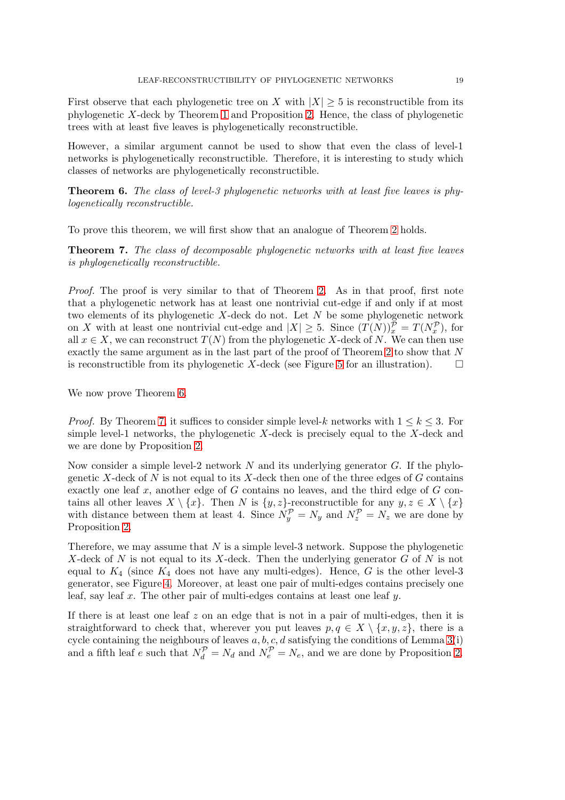First observe that each phylogenetic tree on X with  $|X| \geq 5$  is reconstructible from its phylogenetic X-deck by Theorem [1](#page-6-1) and Proposition [2.](#page-16-1) Hence, the class of phylogenetic trees with at least five leaves is phylogenetically reconstructible.

However, a similar argument cannot be used to show that even the class of level-1 networks is phylogenetically reconstructible. Therefore, it is interesting to study which classes of networks are phylogenetically reconstructible.

<span id="page-18-0"></span>**Theorem 6.** The class of level-3 phylogenetic networks with at least five leaves is phylogenetically reconstructible.

To prove this theorem, we will first show that an analogue of Theorem [2](#page-6-4) holds.

<span id="page-18-1"></span>Theorem 7. The class of decomposable phylogenetic networks with at least five leaves is phylogenetically reconstructible.

Proof. The proof is very similar to that of Theorem [2.](#page-6-4) As in that proof, first note that a phylogenetic network has at least one nontrivial cut-edge if and only if at most two elements of its phylogenetic  $X$ -deck do not. Let  $N$  be some phylogenetic network on X with at least one nontrivial cut-edge and  $|X| \geq 5$ . Since  $(T(N))_x^{\tilde{p}} = T(N_x^p)$ , for all  $x \in X$ , we can reconstruct  $T(N)$  from the phylogenetic X-deck of N. We can then use exactly the same argument as in the last part of the proof of Theorem [2](#page-6-4) to show that  $N$ is reconstructible from its phylogenetic X-deck (see Figure [5](#page-15-0) for an illustration).  $\square$ 

We now prove Theorem [6.](#page-18-0)

*Proof.* By Theorem [7,](#page-18-1) it suffices to consider simple level-k networks with  $1 \leq k \leq 3$ . For simple level-1 networks, the phylogenetic  $X$ -deck is precisely equal to the  $X$ -deck and we are done by Proposition [2.](#page-16-1)

Now consider a simple level-2 network N and its underlying generator  $G$ . If the phylogenetic X-deck of  $N$  is not equal to its X-deck then one of the three edges of  $G$  contains exactly one leaf  $x$ , another edge of  $G$  contains no leaves, and the third edge of  $G$  contains all other leaves  $X \setminus \{x\}$ . Then N is  $\{y, z\}$ -reconstructible for any  $y, z \in X \setminus \{x\}$ with distance between them at least 4. Since  $N_y^{\mathcal{P}} = N_y$  and  $N_z^{\mathcal{P}} = N_z$  we are done by Proposition [2.](#page-16-1)

Therefore, we may assume that  $N$  is a simple level-3 network. Suppose the phylogenetic X-deck of N is not equal to its X-deck. Then the underlying generator  $G$  of N is not equal to  $K_4$  (since  $K_4$  does not have any multi-edges). Hence, G is the other level-3 generator, see Figure [4.](#page-11-0) Moreover, at least one pair of multi-edges contains precisely one leaf, say leaf x. The other pair of multi-edges contains at least one leaf  $y$ .

If there is at least one leaf  $z$  on an edge that is not in a pair of multi-edges, then it is straightforward to check that, wherever you put leaves  $p, q \in X \setminus \{x, y, z\}$ , there is a cycle containing the neighbours of leaves  $a, b, c, d$  satisfying the conditions of Lemma [3\(](#page-10-1)i) and a fifth leaf e such that  $N_d^{\mathcal{P}} = N_d$  and  $N_e^{\mathcal{P}} = N_e$ , and we are done by Proposition [2.](#page-16-1)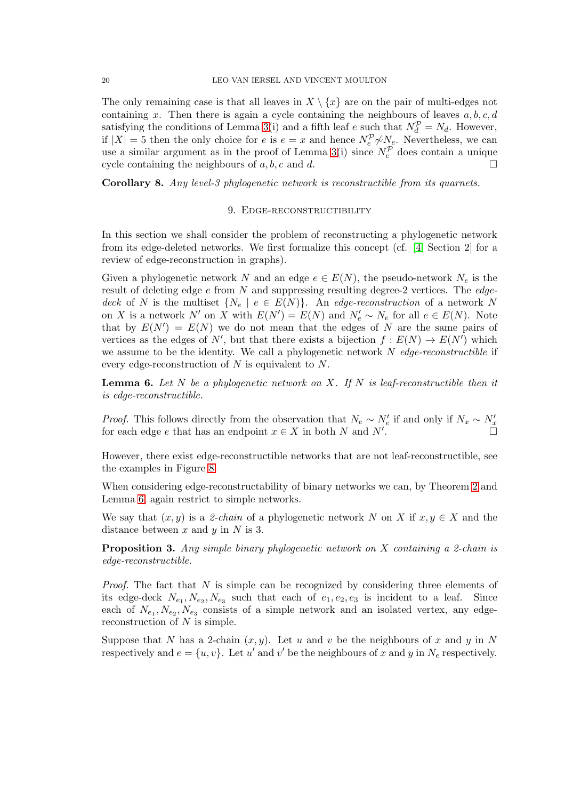The only remaining case is that all leaves in  $X \setminus \{x\}$  are on the pair of multi-edges not containing x. Then there is again a cycle containing the neighbours of leaves  $a, b, c, d$ satisfying the conditions of Lemma [3\(](#page-10-1)i) and a fifth leaf e such that  $N_d^{\mathcal{P}} = N_d$ . However, if  $|X| = 5$  then the only choice for e is  $e = x$  and hence  $N_e^{\mathcal{P}} \nsim N_e$ . Nevertheless, we can use a similar argument as in the proof of Lemma [3\(](#page-10-1)i) since  $N_e^{\mathcal{P}}$  does contain a unique cycle containing the neighbours of a, b, c and d.

<span id="page-19-0"></span>Corollary 8. Any level-3 phylogenetic network is reconstructible from its quarnets.

#### 9. EDGE-RECONSTRUCTIBILITY

In this section we shall consider the problem of reconstructing a phylogenetic network from its edge-deleted networks. We first formalize this concept (cf. [\[4,](#page-22-8) Section 2] for a review of edge-reconstruction in graphs).

Given a phylogenetic network N and an edge  $e \in E(N)$ , the pseudo-network  $N_e$  is the result of deleting edge  $e$  from  $N$  and suppressing resulting degree-2 vertices. The edgedeck of N is the multiset  $\{N_e \mid e \in E(N)\}$ . An edge-reconstruction of a network N on X is a network N' on X with  $E(N') = E(N)$  and  $N'_e \sim N_e$  for all  $e \in E(N)$ . Note that by  $E(N') = E(N)$  we do not mean that the edges of N are the same pairs of vertices as the edges of N', but that there exists a bijection  $f: E(N) \to E(N)$  which we assume to be the identity. We call a phylogenetic network  $N$  edge-reconstructible if every edge-reconstruction of  $N$  is equivalent to  $N$ .

<span id="page-19-1"></span>**Lemma 6.** Let N be a phylogenetic network on X. If N is leaf-reconstructible then it is edge-reconstructible.

*Proof.* This follows directly from the observation that  $N_e \sim N'_e$  if and only if  $N_x \sim N'_x$  for each edge  $e$  that has an endpoint  $x \in X$  in both N and N'.

However, there exist edge-reconstructible networks that are not leaf-reconstructible, see the examples in Figure [8.](#page-20-0)

When considering edge-reconstructability of binary networks we can, by Theorem [2](#page-6-4) and Lemma [6,](#page-19-1) again restrict to simple networks.

We say that  $(x, y)$  is a 2-chain of a phylogenetic network N on X if  $x, y \in X$  and the distance between  $x$  and  $y$  in  $N$  is 3.

**Proposition 3.** Any simple binary phylogenetic network on  $X$  containing a 2-chain is edge-reconstructible.

*Proof.* The fact that  $N$  is simple can be recognized by considering three elements of its edge-deck  $N_{e_1}, N_{e_2}, N_{e_3}$  such that each of  $e_1, e_2, e_3$  is incident to a leaf. Since each of  $N_{e_1}, N_{e_2}, N_{e_3}$  consists of a simple network and an isolated vertex, any edgereconstruction of  $N$  is simple.

Suppose that N has a 2-chain  $(x, y)$ . Let u and v be the neighbours of x and y in N respectively and  $e = \{u, v\}$ . Let  $u'$  and  $v'$  be the neighbours of x and y in  $N_e$  respectively.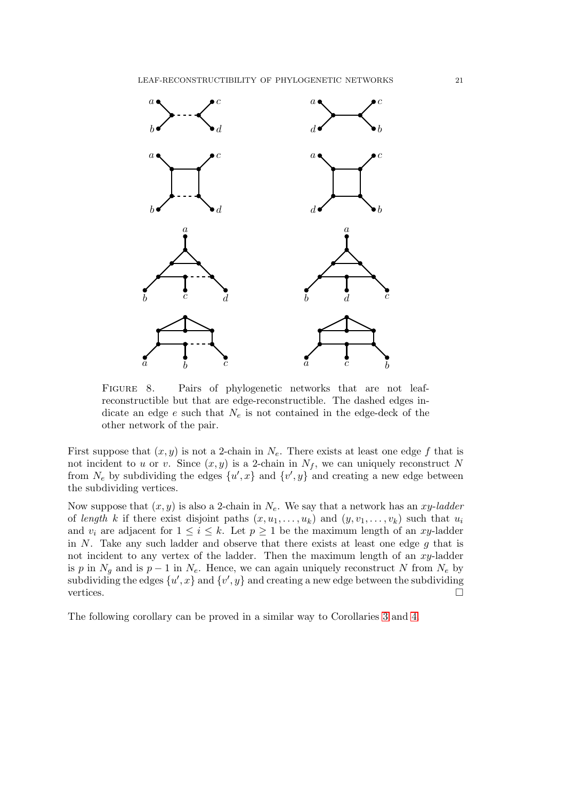

<span id="page-20-0"></span>FIGURE 8. Pairs of phylogenetic networks that are not leafreconstructible but that are edge-reconstructible. The dashed edges indicate an edge  $e$  such that  $N_e$  is not contained in the edge-deck of the other network of the pair.

First suppose that  $(x, y)$  is not a 2-chain in  $N_e$ . There exists at least one edge f that is not incident to u or v. Since  $(x, y)$  is a 2-chain in  $N_f$ , we can uniquely reconstruct N from  $N_e$  by subdividing the edges  $\{u',x\}$  and  $\{v',y\}$  and creating a new edge between the subdividing vertices.

Now suppose that  $(x, y)$  is also a 2-chain in  $N_e$ . We say that a network has an xy-ladder of length k if there exist disjoint paths  $(x, u_1, \ldots, u_k)$  and  $(y, v_1, \ldots, v_k)$  such that  $u_i$ and  $v_i$  are adjacent for  $1 \leq i \leq k$ . Let  $p \geq 1$  be the maximum length of an xy-ladder in  $N$ . Take any such ladder and observe that there exists at least one edge  $g$  that is not incident to any vertex of the ladder. Then the maximum length of an  $xy$ -ladder is p in  $N_g$  and is  $p-1$  in  $N_e$ . Hence, we can again uniquely reconstruct N from  $N_e$  by subdividing the edges  $\{u',x\}$  and  $\{v',y\}$  and creating a new edge between the subdividing vertices.  $\Box$ 

The following corollary can be proved in a similar way to Corollaries [3](#page-7-2) and [4.](#page-8-3)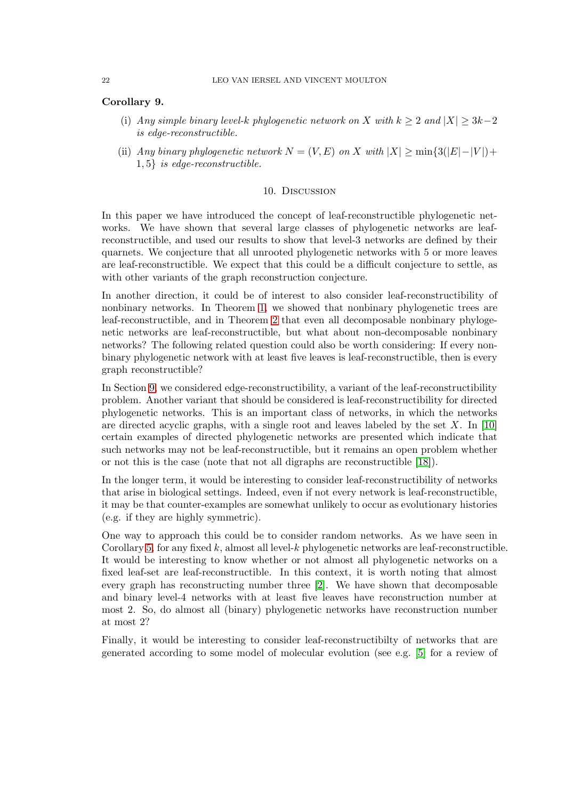# Corollary 9.

- (i) Any simple binary level-k phylogenetic network on X with  $k \geq 2$  and  $|X| \geq 3k-2$ is edge-reconstructible.
- (ii) Any binary phylogenetic network  $N = (V, E)$  on X with  $|X| > \min\{3(|E| |V|) +$ 1, 5} is edge-reconstructible.

# 10. Discussion

In this paper we have introduced the concept of leaf-reconstructible phylogenetic networks. We have shown that several large classes of phylogenetic networks are leafreconstructible, and used our results to show that level-3 networks are defined by their quarnets. We conjecture that all unrooted phylogenetic networks with 5 or more leaves are leaf-reconstructible. We expect that this could be a difficult conjecture to settle, as with other variants of the graph reconstruction conjecture.

In another direction, it could be of interest to also consider leaf-reconstructibility of nonbinary networks. In Theorem [1,](#page-6-1) we showed that nonbinary phylogenetic trees are leaf-reconstructible, and in Theorem [2](#page-6-4) that even all decomposable nonbinary phylogenetic networks are leaf-reconstructible, but what about non-decomposable nonbinary networks? The following related question could also be worth considering: If every nonbinary phylogenetic network with at least five leaves is leaf-reconstructible, then is every graph reconstructible?

In Section [9,](#page-19-0) we considered edge-reconstructibility, a variant of the leaf-reconstructibility problem. Another variant that should be considered is leaf-reconstructibility for directed phylogenetic networks. This is an important class of networks, in which the networks are directed acyclic graphs, with a single root and leaves labeled by the set  $X$ . In [\[10\]](#page-22-4) certain examples of directed phylogenetic networks are presented which indicate that such networks may not be leaf-reconstructible, but it remains an open problem whether or not this is the case (note that not all digraphs are reconstructible [\[18\]](#page-22-14)).

In the longer term, it would be interesting to consider leaf-reconstructibility of networks that arise in biological settings. Indeed, even if not every network is leaf-reconstructible, it may be that counter-examples are somewhat unlikely to occur as evolutionary histories (e.g. if they are highly symmetric).

One way to approach this could be to consider random networks. As we have seen in Corollary [5,](#page-8-4) for any fixed k, almost all level-k phylogenetic networks are leaf-reconstructible. It would be interesting to know whether or not almost all phylogenetic networks on a fixed leaf-set are leaf-reconstructible. In this context, it is worth noting that almost every graph has reconstructing number three [\[2\]](#page-22-15). We have shown that decomposable and binary level-4 networks with at least five leaves have reconstruction number at most 2. So, do almost all (binary) phylogenetic networks have reconstruction number at most 2?

Finally, it would be interesting to consider leaf-reconstructibilty of networks that are generated according to some model of molecular evolution (see e.g. [\[5\]](#page-22-0) for a review of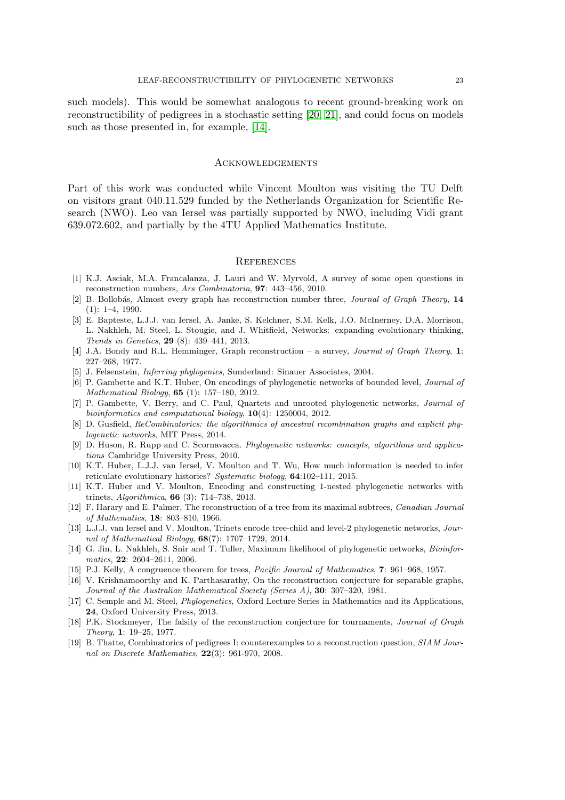such models). This would be somewhat analogous to recent ground-breaking work on reconstructibility of pedigrees in a stochastic setting [\[20,](#page-23-1) [21\]](#page-23-2), and could focus on models such as those presented in, for example, [\[14\]](#page-22-16).

# **ACKNOWLEDGEMENTS**

Part of this work was conducted while Vincent Moulton was visiting the TU Delft on visitors grant 040.11.529 funded by the Netherlands Organization for Scientific Research (NWO). Leo van Iersel was partially supported by NWO, including Vidi grant 639.072.602, and partially by the 4TU Applied Mathematics Institute.

### **REFERENCES**

- <span id="page-22-9"></span>[1] K.J. Asciak, M.A. Francalanza, J. Lauri and W. Myrvold, A survey of some open questions in reconstruction numbers, Ars Combinatoria, 97: 443–456, 2010.
- <span id="page-22-15"></span>[2] B. Bollobás, Almost every graph has reconstruction number three, *Journal of Graph Theory*, 14 (1): 1–4, 1990.
- [3] E. Bapteste, L.J.J. van Iersel, A. Janke, S. Kelchner, S.M. Kelk, J.O. McInerney, D.A. Morrison, L. Nakhleh, M. Steel, L. Stougie, and J. Whitfield, Networks: expanding evolutionary thinking, Trends in Genetics, 29 (8): 439–441, 2013.
- <span id="page-22-8"></span>[4] J.A. Bondy and R.L. Hemminger, Graph reconstruction – a survey, Journal of Graph Theory, 1: 227–268, 1977.
- <span id="page-22-0"></span>[5] J. Felsenstein, Inferring phylogenies, Sunderland: Sinauer Associates, 2004.
- [6] P. Gambette and K.T. Huber, On encodings of phylogenetic networks of bounded level, Journal of Mathematical Biology, 65 (1): 157–180, 2012.
- <span id="page-22-7"></span>[7] P. Gambette, V. Berry, and C. Paul, Quartets and unrooted phylogenetic networks, Journal of bioinformatics and computational biology, 10(4): 1250004, 2012.
- <span id="page-22-1"></span>[8] D. Gusfield, ReCombinatorics: the algorithmics of ancestral recombination graphs and explicit phylogenetic networks, MIT Press, 2014.
- <span id="page-22-2"></span>[9] D. Huson, R. Rupp and C. Scornavacca. Phylogenetic networks: concepts, algorithms and applications Cambridge University Press, 2010.
- <span id="page-22-4"></span>[10] K.T. Huber, L.J.J. van Iersel, V. Moulton and T. Wu, How much information is needed to infer reticulate evolutionary histories? Systematic biology, 64:102–111, 2015.
- <span id="page-22-5"></span>[11] K.T. Huber and V. Moulton, Encoding and constructing 1-nested phylogenetic networks with trinets, Algorithmica, 66 (3): 714–738, 2013.
- <span id="page-22-13"></span>[12] F. Harary and E. Palmer, The reconstruction of a tree from its maximal subtrees, Canadian Journal of Mathematics, 18: 803–810, 1966.
- <span id="page-22-10"></span>[13] L.J.J. van Iersel and V. Moulton, Trinets encode tree-child and level-2 phylogenetic networks, Journal of Mathematical Biology, 68(7): 1707–1729, 2014.
- <span id="page-22-16"></span>[14] G. Jin, L. Nakhleh, S. Snir and T. Tuller, Maximum likelihood of phylogenetic networks, Bioinformatics, 22: 2604–2611, 2006.
- <span id="page-22-12"></span><span id="page-22-11"></span>[15] P.J. Kelly, A congruence theorem for trees, Pacific Journal of Mathematics, 7: 961–968, 1957.
- [16] V. Krishnamoorthy and K. Parthasarathy, On the reconstruction conjecture for separable graphs, Journal of the Australian Mathematical Society (Series A), 30: 307–320, 1981.
- <span id="page-22-3"></span>[17] C. Semple and M. Steel, Phylogenetics, Oxford Lecture Series in Mathematics and its Applications, 24, Oxford University Press, 2013.
- <span id="page-22-14"></span>[18] P.K. Stockmeyer, The falsity of the reconstruction conjecture for tournaments, *Journal of Graph* Theory, 1: 19–25, 1977.
- <span id="page-22-6"></span>[19] B. Thatte, Combinatorics of pedigrees I: counterexamples to a reconstruction question, SIAM Journal on Discrete Mathematics, 22(3): 961-970, 2008.